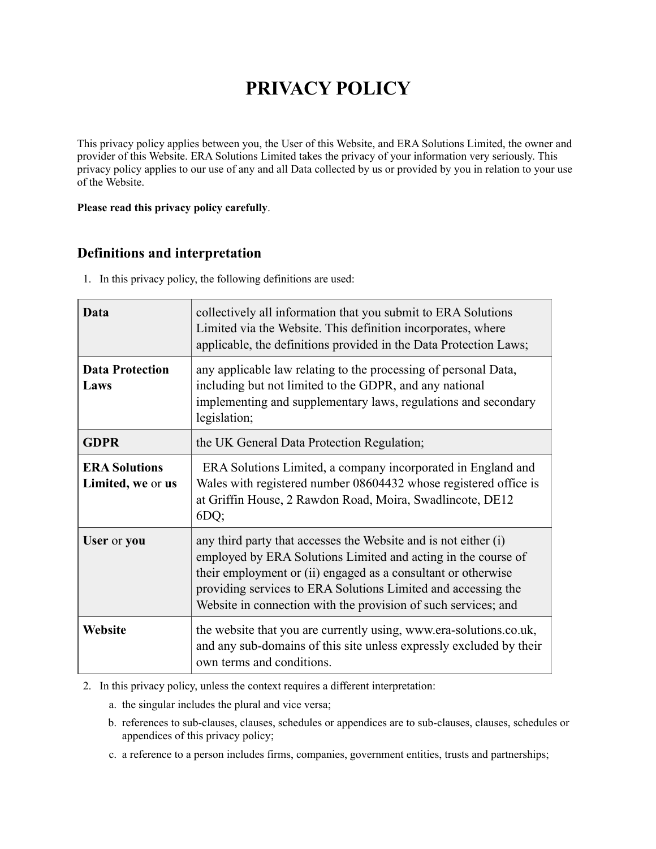# **PRIVACY POLICY**

This privacy policy applies between you, the User of this Website, and ERA Solutions Limited, the owner and provider of this Website. ERA Solutions Limited takes the privacy of your information very seriously. This privacy policy applies to our use of any and all Data collected by us or provided by you in relation to your use of the Website.

#### **Please read this privacy policy carefully**.

# **Definitions and interpretation**

1. In this privacy policy, the following definitions are used:

| Data                                      | collectively all information that you submit to ERA Solutions<br>Limited via the Website. This definition incorporates, where<br>applicable, the definitions provided in the Data Protection Laws;                                                                                                                                   |
|-------------------------------------------|--------------------------------------------------------------------------------------------------------------------------------------------------------------------------------------------------------------------------------------------------------------------------------------------------------------------------------------|
| <b>Data Protection</b><br>Laws            | any applicable law relating to the processing of personal Data,<br>including but not limited to the GDPR, and any national<br>implementing and supplementary laws, regulations and secondary<br>legislation;                                                                                                                         |
| <b>GDPR</b>                               | the UK General Data Protection Regulation;                                                                                                                                                                                                                                                                                           |
| <b>ERA Solutions</b><br>Limited, we or us | ERA Solutions Limited, a company incorporated in England and<br>Wales with registered number 08604432 whose registered office is<br>at Griffin House, 2 Rawdon Road, Moira, Swadlincote, DE12<br>6DQ;                                                                                                                                |
| User or you                               | any third party that accesses the Website and is not either (i)<br>employed by ERA Solutions Limited and acting in the course of<br>their employment or (ii) engaged as a consultant or otherwise<br>providing services to ERA Solutions Limited and accessing the<br>Website in connection with the provision of such services; and |
| Website                                   | the website that you are currently using, www.era-solutions.co.uk,<br>and any sub-domains of this site unless expressly excluded by their<br>own terms and conditions.                                                                                                                                                               |

2. In this privacy policy, unless the context requires a different interpretation:

- a. the singular includes the plural and vice versa;
- b. references to sub-clauses, clauses, schedules or appendices are to sub-clauses, clauses, schedules or appendices of this privacy policy;
- c. a reference to a person includes firms, companies, government entities, trusts and partnerships;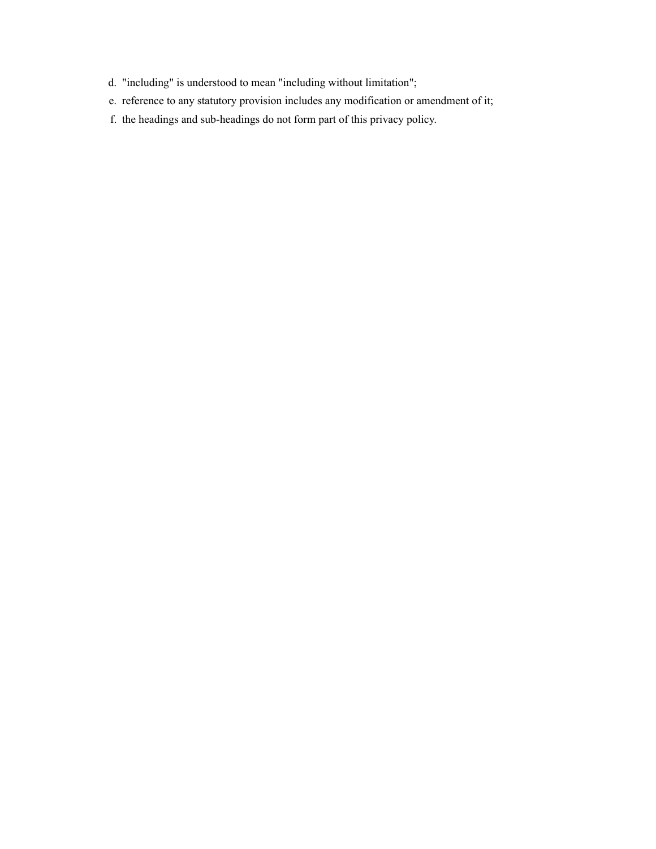- d. "including" is understood to mean "including without limitation";
- e. reference to any statutory provision includes any modification or amendment of it;
- f. the headings and sub-headings do not form part of this privacy policy.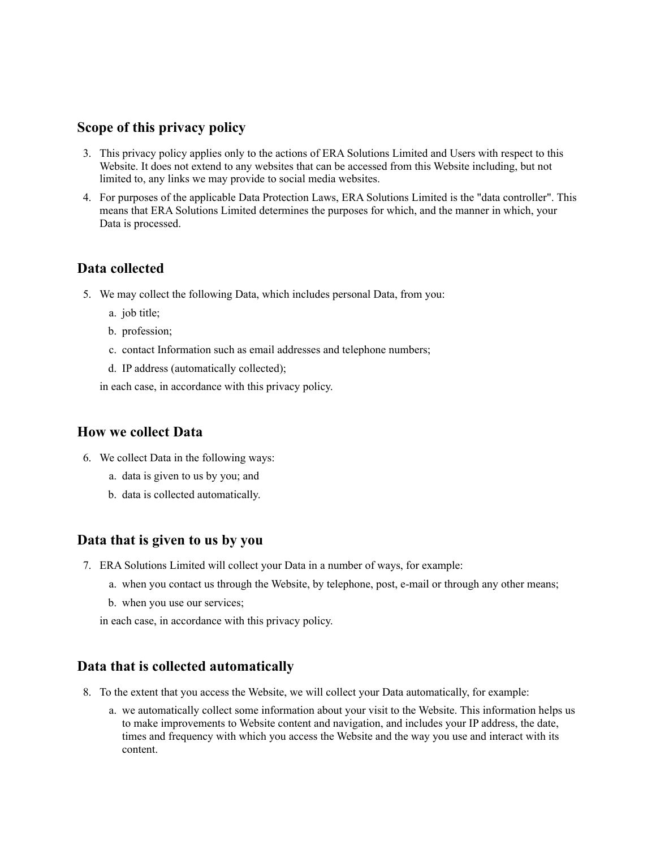## **Scope of this privacy policy**

- 3. This privacy policy applies only to the actions of ERA Solutions Limited and Users with respect to this Website. It does not extend to any websites that can be accessed from this Website including, but not limited to, any links we may provide to social media websites.
- 4. For purposes of the applicable Data Protection Laws, ERA Solutions Limited is the "data controller". This means that ERA Solutions Limited determines the purposes for which, and the manner in which, your Data is processed.

## **Data collected**

- 5. We may collect the following Data, which includes personal Data, from you:
	- a. job title;
	- b. profession;
	- c. contact Information such as email addresses and telephone numbers;
	- d. IP address (automatically collected);

in each case, in accordance with this privacy policy.

## **How we collect Data**

- 6. We collect Data in the following ways:
	- a. data is given to us by you; and
	- b. data is collected automatically.

## **Data that is given to us by you**

- 7. ERA Solutions Limited will collect your Data in a number of ways, for example:
	- a. when you contact us through the Website, by telephone, post, e-mail or through any other means;
	- b. when you use our services;

in each case, in accordance with this privacy policy.

## **Data that is collected automatically**

- 8. To the extent that you access the Website, we will collect your Data automatically, for example:
	- a. we automatically collect some information about your visit to the Website. This information helps us to make improvements to Website content and navigation, and includes your IP address, the date, times and frequency with which you access the Website and the way you use and interact with its content.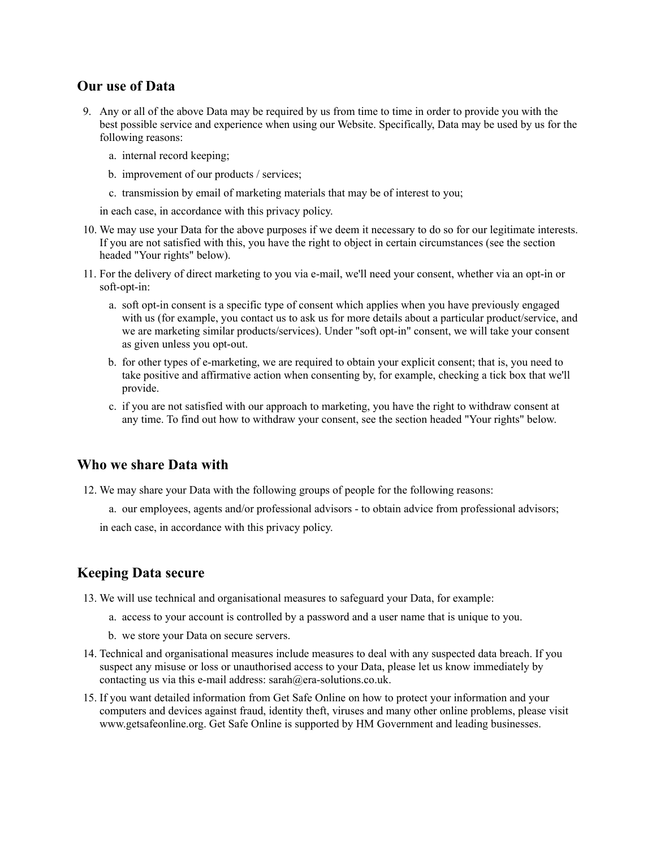## **Our use of Data**

- 9. Any or all of the above Data may be required by us from time to time in order to provide you with the best possible service and experience when using our Website. Specifically, Data may be used by us for the following reasons:
	- a. internal record keeping;
	- b. improvement of our products / services;
	- c. transmission by email of marketing materials that may be of interest to you;

in each case, in accordance with this privacy policy.

- 10. We may use your Data for the above purposes if we deem it necessary to do so for our legitimate interests. If you are not satisfied with this, you have the right to object in certain circumstances (see the section headed "Your rights" below).
- 11. For the delivery of direct marketing to you via e-mail, we'll need your consent, whether via an opt-in or soft-opt-in:
	- a. soft opt-in consent is a specific type of consent which applies when you have previously engaged with us (for example, you contact us to ask us for more details about a particular product/service, and we are marketing similar products/services). Under "soft opt-in" consent, we will take your consent as given unless you opt-out.
	- b. for other types of e-marketing, we are required to obtain your explicit consent; that is, you need to take positive and affirmative action when consenting by, for example, checking a tick box that we'll provide.
	- c. if you are not satisfied with our approach to marketing, you have the right to withdraw consent at any time. To find out how to withdraw your consent, see the section headed "Your rights" below.

#### **Who we share Data with**

- 12. We may share your Data with the following groups of people for the following reasons:
	- a. our employees, agents and/or professional advisors to obtain advice from professional advisors;

in each case, in accordance with this privacy policy.

#### **Keeping Data secure**

- 13. We will use technical and organisational measures to safeguard your Data, for example:
	- a. access to your account is controlled by a password and a user name that is unique to you.
	- b. we store your Data on secure servers.
- 14. Technical and organisational measures include measures to deal with any suspected data breach. If you suspect any misuse or loss or unauthorised access to your Data, please let us know immediately by contacting us via this e-mail address: sarah@era-solutions.co.uk.
- 15. If you want detailed information from Get Safe Online on how to protect your information and your computers and devices against fraud, identity theft, viruses and many other online problems, please visit www.getsafeonline.org. Get Safe Online is supported by HM Government and leading businesses.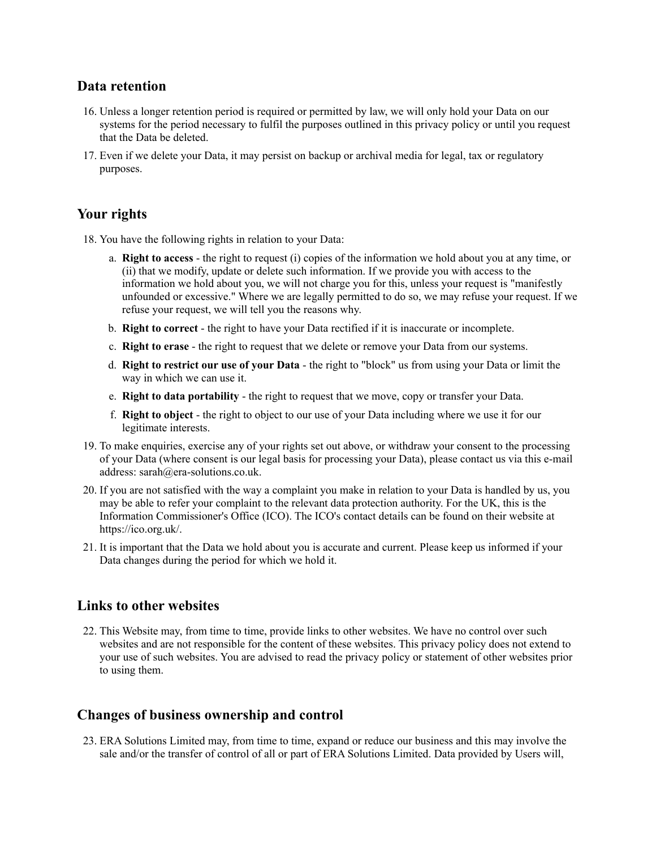## **Data retention**

- 16. Unless a longer retention period is required or permitted by law, we will only hold your Data on our systems for the period necessary to fulfil the purposes outlined in this privacy policy or until you request that the Data be deleted.
- 17. Even if we delete your Data, it may persist on backup or archival media for legal, tax or regulatory purposes.

## **Your rights**

- 18. You have the following rights in relation to your Data:
	- a. **Right to access** the right to request (i) copies of the information we hold about you at any time, or (ii) that we modify, update or delete such information. If we provide you with access to the information we hold about you, we will not charge you for this, unless your request is "manifestly unfounded or excessive." Where we are legally permitted to do so, we may refuse your request. If we refuse your request, we will tell you the reasons why.
	- b. **Right to correct** the right to have your Data rectified if it is inaccurate or incomplete.
	- c. **Right to erase** the right to request that we delete or remove your Data from our systems.
	- d. **Right to restrict our use of your Data** the right to "block" us from using your Data or limit the way in which we can use it.
	- e. **Right to data portability** the right to request that we move, copy or transfer your Data.
	- f. **Right to object** the right to object to our use of your Data including where we use it for our legitimate interests.
- 19. To make enquiries, exercise any of your rights set out above, or withdraw your consent to the processing of your Data (where consent is our legal basis for processing your Data), please contact us via this e-mail address: sarah@era-solutions.co.uk.
- 20. If you are not satisfied with the way a complaint you make in relation to your Data is handled by us, you may be able to refer your complaint to the relevant data protection authority. For the UK, this is the Information Commissioner's Office (ICO). The ICO's contact details can be found on their website at https://ico.org.uk/.
- 21. It is important that the Data we hold about you is accurate and current. Please keep us informed if your Data changes during the period for which we hold it.

## **Links to other websites**

22. This Website may, from time to time, provide links to other websites. We have no control over such websites and are not responsible for the content of these websites. This privacy policy does not extend to your use of such websites. You are advised to read the privacy policy or statement of other websites prior to using them.

## **Changes of business ownership and control**

23. ERA Solutions Limited may, from time to time, expand or reduce our business and this may involve the sale and/or the transfer of control of all or part of ERA Solutions Limited. Data provided by Users will,